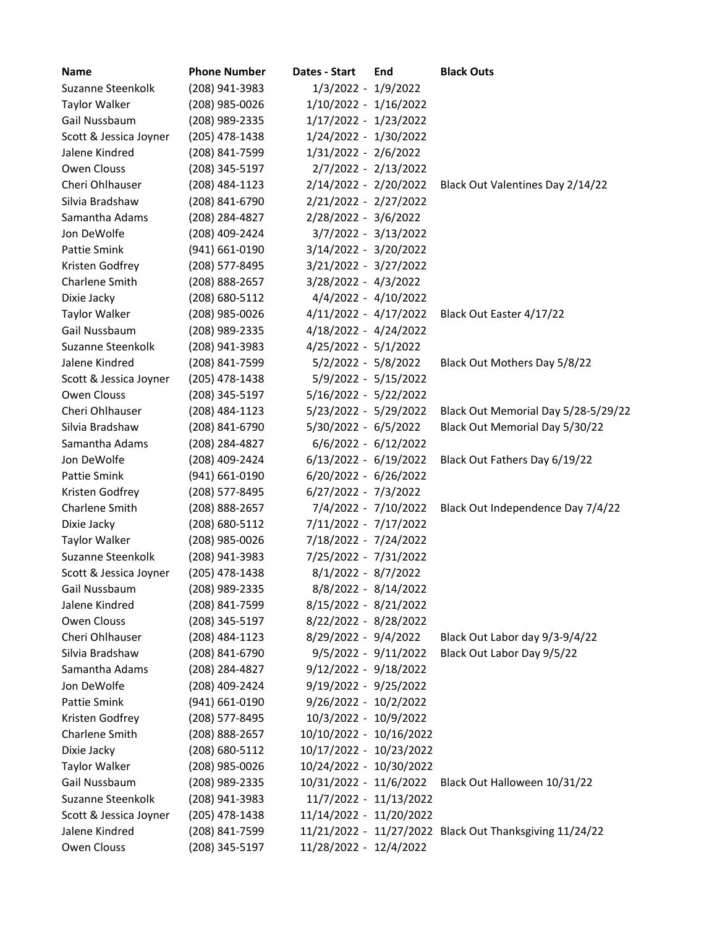| Name                   | <b>Phone Number</b> | Dates - Start           | End | <b>Black Outs</b>                                       |
|------------------------|---------------------|-------------------------|-----|---------------------------------------------------------|
| Suzanne Steenkolk      | (208) 941-3983      | 1/3/2022 - 1/9/2022     |     |                                                         |
| Taylor Walker          | (208) 985-0026      | 1/10/2022 - 1/16/2022   |     |                                                         |
| Gail Nussbaum          | (208) 989-2335      | 1/17/2022 - 1/23/2022   |     |                                                         |
| Scott & Jessica Joyner | (205) 478-1438      | 1/24/2022 - 1/30/2022   |     |                                                         |
| Jalene Kindred         | (208) 841-7599      | 1/31/2022 - 2/6/2022    |     |                                                         |
| Owen Clouss            | (208) 345-5197      | 2/7/2022 - 2/13/2022    |     |                                                         |
| Cheri Ohlhauser        | (208) 484-1123      | 2/14/2022 - 2/20/2022   |     | Black Out Valentines Day 2/14/22                        |
| Silvia Bradshaw        | (208) 841-6790      | 2/21/2022 - 2/27/2022   |     |                                                         |
| Samantha Adams         | (208) 284-4827      | 2/28/2022 - 3/6/2022    |     |                                                         |
| Jon DeWolfe            | (208) 409-2424      | 3/7/2022 - 3/13/2022    |     |                                                         |
| Pattie Smink           | (941) 661-0190      | 3/14/2022 - 3/20/2022   |     |                                                         |
| Kristen Godfrey        | (208) 577-8495      | 3/21/2022 - 3/27/2022   |     |                                                         |
| Charlene Smith         | (208) 888-2657      | 3/28/2022 - 4/3/2022    |     |                                                         |
| Dixie Jacky            | (208) 680-5112      | 4/4/2022 - 4/10/2022    |     |                                                         |
| Taylor Walker          | (208) 985-0026      | $4/11/2022 - 4/17/2022$ |     | Black Out Easter 4/17/22                                |
| Gail Nussbaum          | (208) 989-2335      | 4/18/2022 - 4/24/2022   |     |                                                         |
| Suzanne Steenkolk      | (208) 941-3983      | $4/25/2022 - 5/1/2022$  |     |                                                         |
| Jalene Kindred         | (208) 841-7599      | 5/2/2022 - 5/8/2022     |     | Black Out Mothers Day 5/8/22                            |
| Scott & Jessica Joyner | (205) 478-1438      | 5/9/2022 - 5/15/2022    |     |                                                         |
| Owen Clouss            | (208) 345-5197      | $5/16/2022 - 5/22/2022$ |     |                                                         |
| Cheri Ohlhauser        | (208) 484-1123      | 5/23/2022 - 5/29/2022   |     | Black Out Memorial Day 5/28-5/29/22                     |
| Silvia Bradshaw        | (208) 841-6790      | $5/30/2022 - 6/5/2022$  |     | Black Out Memorial Day 5/30/22                          |
| Samantha Adams         | (208) 284-4827      | $6/6/2022 - 6/12/2022$  |     |                                                         |
| Jon DeWolfe            | (208) 409-2424      | $6/13/2022 - 6/19/2022$ |     | Black Out Fathers Day 6/19/22                           |
| Pattie Smink           | (941) 661-0190      | 6/20/2022 - 6/26/2022   |     |                                                         |
| Kristen Godfrey        | (208) 577-8495      | $6/27/2022 - 7/3/2022$  |     |                                                         |
| Charlene Smith         | (208) 888-2657      | 7/4/2022 - 7/10/2022    |     | Black Out Independence Day 7/4/22                       |
| Dixie Jacky            | (208) 680-5112      | 7/11/2022 - 7/17/2022   |     |                                                         |
| Taylor Walker          | (208) 985-0026      | 7/18/2022 - 7/24/2022   |     |                                                         |
| Suzanne Steenkolk      | (208) 941-3983      | 7/25/2022 - 7/31/2022   |     |                                                         |
| Scott & Jessica Joyner | (205) 478-1438      | 8/1/2022 - 8/7/2022     |     |                                                         |
| Gail Nussbaum          | (208) 989-2335      | 8/8/2022 - 8/14/2022    |     |                                                         |
| Jalene Kindred         | (208) 841-7599      | 8/15/2022 - 8/21/2022   |     |                                                         |
| Owen Clouss            | (208) 345-5197      | 8/22/2022 - 8/28/2022   |     |                                                         |
| Cheri Ohlhauser        | (208) 484-1123      | 8/29/2022 - 9/4/2022    |     | Black Out Labor day 9/3-9/4/22                          |
| Silvia Bradshaw        | (208) 841-6790      | $9/5/2022 - 9/11/2022$  |     | Black Out Labor Day 9/5/22                              |
| Samantha Adams         | (208) 284-4827      | $9/12/2022 - 9/18/2022$ |     |                                                         |
| Jon DeWolfe            | (208) 409-2424      | $9/19/2022 - 9/25/2022$ |     |                                                         |
| Pattie Smink           | (941) 661-0190      | 9/26/2022 - 10/2/2022   |     |                                                         |
| Kristen Godfrey        | (208) 577-8495      | 10/3/2022 - 10/9/2022   |     |                                                         |
| Charlene Smith         | (208) 888-2657      | 10/10/2022 - 10/16/2022 |     |                                                         |
| Dixie Jacky            | (208) 680-5112      | 10/17/2022 - 10/23/2022 |     |                                                         |
| Taylor Walker          | (208) 985-0026      | 10/24/2022 - 10/30/2022 |     |                                                         |
| Gail Nussbaum          | (208) 989-2335      | 10/31/2022 - 11/6/2022  |     | Black Out Halloween 10/31/22                            |
| Suzanne Steenkolk      | (208) 941-3983      | 11/7/2022 - 11/13/2022  |     |                                                         |
| Scott & Jessica Joyner | (205) 478-1438      | 11/14/2022 - 11/20/2022 |     |                                                         |
| Jalene Kindred         | (208) 841-7599      |                         |     | 11/21/2022 - 11/27/2022 Black Out Thanksgiving 11/24/22 |
| Owen Clouss            | (208) 345-5197      | 11/28/2022 - 12/4/2022  |     |                                                         |